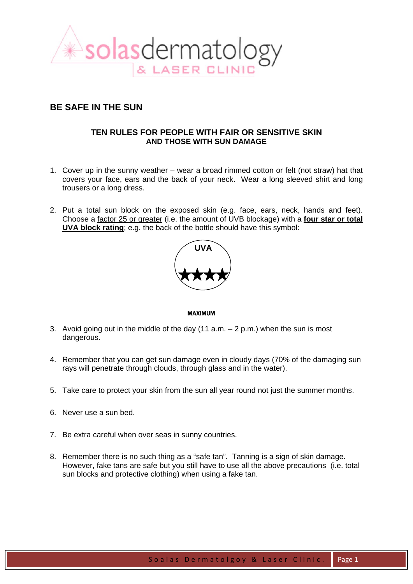

## **BE SAFE IN THE SUN**

## **TEN RULES FOR PEOPLE WITH FAIR OR SENSITIVE SKIN AND THOSE WITH SUN DAMAGE**

- 1. Cover up in the sunny weather wear a broad rimmed cotton or felt (not straw) hat that covers your face, ears and the back of your neck. Wear a long sleeved shirt and long trousers or a long dress.
- 2. Put a total sun block on the exposed skin (e.g. face, ears, neck, hands and feet). Choose a factor 25 or greater (i.e. the amount of UVB blockage) with a **four star or total UVA block rating**; e.g. the back of the bottle should have this symbol:



MAXIMUM

- 3. Avoid going out in the middle of the day  $(11 a.m. 2 p.m.)$  when the sun is most dangerous.
- 4. Remember that you can get sun damage even in cloudy days (70% of the damaging sun rays will penetrate through clouds, through glass and in the water).
- 5. Take care to protect your skin from the sun all year round not just the summer months.
- 6. Never use a sun bed.
- 7. Be extra careful when over seas in sunny countries.
- 8. Remember there is no such thing as a "safe tan". Tanning is a sign of skin damage. However, fake tans are safe but you still have to use all the above precautions (i.e. total sun blocks and protective clothing) when using a fake tan.